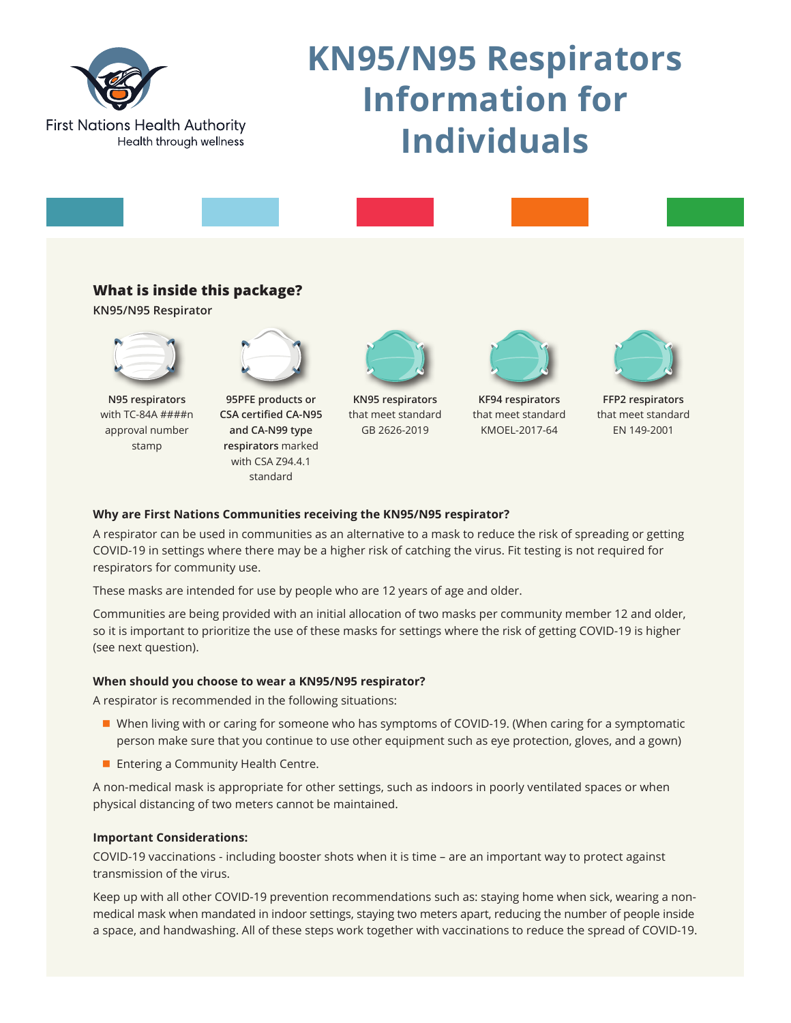

# **KN95/N95 Respirators Information for Individuals**



## **What is inside this package?**

**KN95/N95 Respirator**



**N95 respirators**  with TC-84A ####n approval number stamp



**95PFE products or CSA certified CA-N95 and CA-N99 type respirators** marked with CSA Z94.4.1 standard



**KN95 respirators**  that meet standard GB 2626-2019



**KF94 respirators**  that meet standard KMOEL-2017-64



**FFP2 respirators**  that meet standard EN 149-2001

## **Why are First Nations Communities receiving the KN95/N95 respirator?**

A respirator can be used in communities as an alternative to a mask to reduce the risk of spreading or getting COVID-19 in settings where there may be a higher risk of catching the virus. Fit testing is not required for respirators for community use.

These masks are intended for use by people who are 12 years of age and older.

Communities are being provided with an initial allocation of two masks per community member 12 and older, so it is important to prioritize the use of these masks for settings where the risk of getting COVID-19 is higher (see next question).

## **When should you choose to wear a KN95/N95 respirator?**

A respirator is recommended in the following situations:

- When living with or caring for someone who has symptoms of COVID-19. (When caring for a symptomatic person make sure that you continue to use other equipment such as eye protection, gloves, and a gown)
- $\blacksquare$  Entering a Community Health Centre.

A non-medical mask is appropriate for other settings, such as indoors in poorly ventilated spaces or when physical distancing of two meters cannot be maintained.

## **Important Considerations:**

COVID-19 vaccinations - including booster shots when it is time – are an important way to protect against transmission of the virus.

Keep up with all other COVID-19 prevention recommendations such as: staying home when sick, wearing a nonmedical mask when mandated in indoor settings, staying two meters apart, reducing the number of people inside a space, and handwashing. All of these steps work together with vaccinations to reduce the spread of COVID-19.